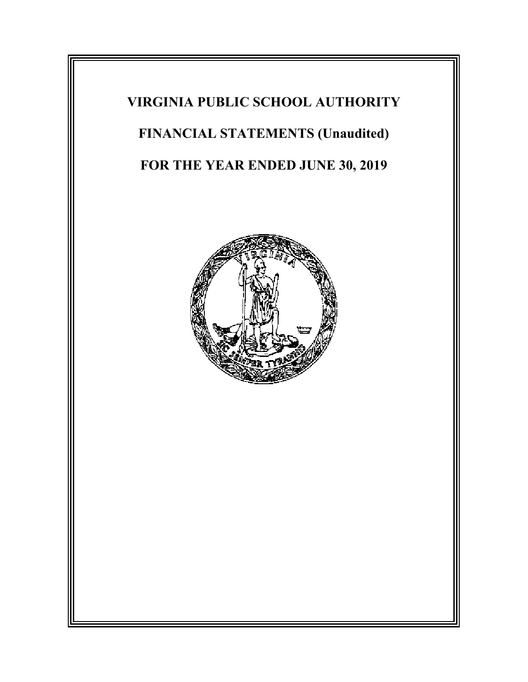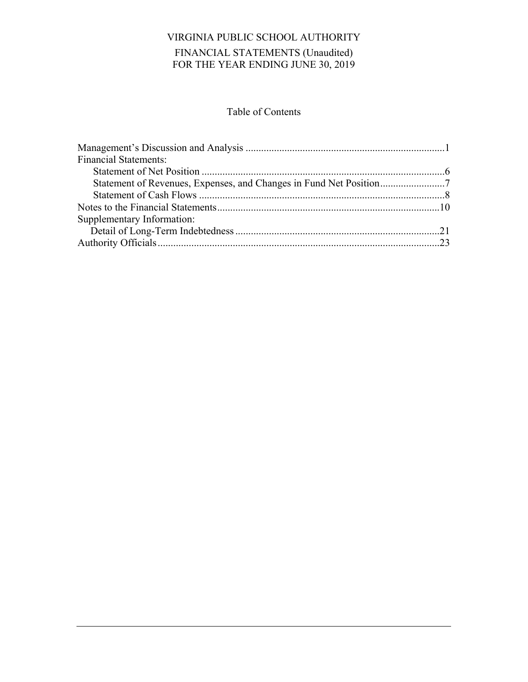# VIRGINIA PUBLIC SCHOOL AUTHORITY FINANCIAL STATEMENTS (Unaudited) FOR THE YEAR ENDING JUNE 30, 2019

# Table of Contents

| <b>Financial Statements:</b> |  |
|------------------------------|--|
|                              |  |
|                              |  |
|                              |  |
|                              |  |
| Supplementary Information:   |  |
|                              |  |
|                              |  |
|                              |  |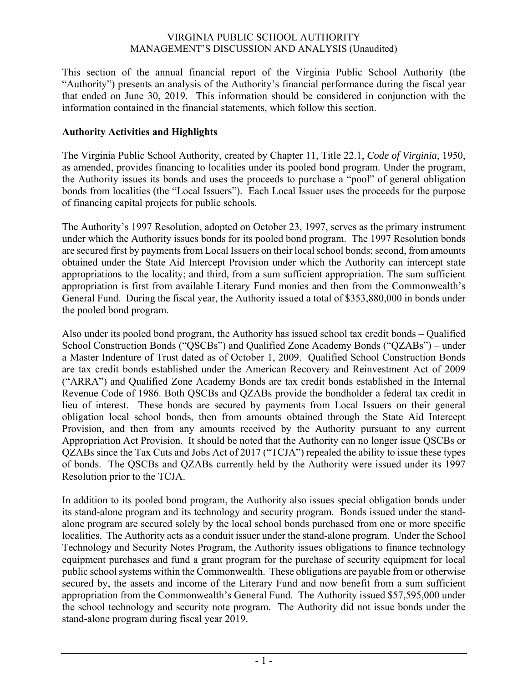This section of the annual financial report of the Virginia Public School Authority (the "Authority") presents an analysis of the Authority's financial performance during the fiscal year that ended on June 30, 2019. This information should be considered in conjunction with the information contained in the financial statements, which follow this section.

### **Authority Activities and Highlights**

The Virginia Public School Authority, created by Chapter 11, Title 22.1, *Code of Virginia*, 1950, as amended, provides financing to localities under its pooled bond program. Under the program, the Authority issues its bonds and uses the proceeds to purchase a "pool" of general obligation bonds from localities (the "Local Issuers"). Each Local Issuer uses the proceeds for the purpose of financing capital projects for public schools.

The Authority's 1997 Resolution, adopted on October 23, 1997, serves as the primary instrument under which the Authority issues bonds for its pooled bond program. The 1997 Resolution bonds are secured first by payments from Local Issuers on their local school bonds; second, from amounts obtained under the State Aid Intercept Provision under which the Authority can intercept state appropriations to the locality; and third, from a sum sufficient appropriation. The sum sufficient appropriation is first from available Literary Fund monies and then from the Commonwealth's General Fund. During the fiscal year, the Authority issued a total of \$353,880,000 in bonds under the pooled bond program.

Also under its pooled bond program, the Authority has issued school tax credit bonds – Qualified School Construction Bonds ("QSCBs") and Qualified Zone Academy Bonds ("QZABs") – under a Master Indenture of Trust dated as of October 1, 2009. Qualified School Construction Bonds are tax credit bonds established under the American Recovery and Reinvestment Act of 2009 ("ARRA") and Qualified Zone Academy Bonds are tax credit bonds established in the Internal Revenue Code of 1986. Both QSCBs and QZABs provide the bondholder a federal tax credit in lieu of interest. These bonds are secured by payments from Local Issuers on their general obligation local school bonds, then from amounts obtained through the State Aid Intercept Provision, and then from any amounts received by the Authority pursuant to any current Appropriation Act Provision. It should be noted that the Authority can no longer issue QSCBs or QZABs since the Tax Cuts and Jobs Act of 2017 ("TCJA") repealed the ability to issue these types of bonds. The QSCBs and QZABs currently held by the Authority were issued under its 1997 Resolution prior to the TCJA.

In addition to its pooled bond program, the Authority also issues special obligation bonds under its stand-alone program and its technology and security program. Bonds issued under the standalone program are secured solely by the local school bonds purchased from one or more specific localities. The Authority acts as a conduit issuer under the stand-alone program. Under the School Technology and Security Notes Program, the Authority issues obligations to finance technology equipment purchases and fund a grant program for the purchase of security equipment for local public school systems within the Commonwealth. These obligations are payable from or otherwise secured by, the assets and income of the Literary Fund and now benefit from a sum sufficient appropriation from the Commonwealth's General Fund. The Authority issued \$57,595,000 under the school technology and security note program. The Authority did not issue bonds under the stand-alone program during fiscal year 2019.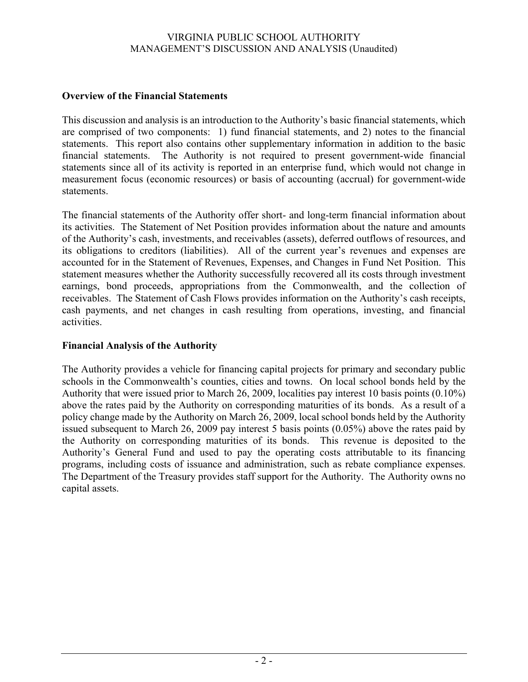#### **Overview of the Financial Statements**

This discussion and analysis is an introduction to the Authority's basic financial statements, which are comprised of two components: 1) fund financial statements, and 2) notes to the financial statements. This report also contains other supplementary information in addition to the basic financial statements. The Authority is not required to present government-wide financial statements since all of its activity is reported in an enterprise fund, which would not change in measurement focus (economic resources) or basis of accounting (accrual) for government-wide statements.

The financial statements of the Authority offer short- and long-term financial information about its activities. The Statement of Net Position provides information about the nature and amounts of the Authority's cash, investments, and receivables (assets), deferred outflows of resources, and its obligations to creditors (liabilities). All of the current year's revenues and expenses are accounted for in the Statement of Revenues, Expenses, and Changes in Fund Net Position. This statement measures whether the Authority successfully recovered all its costs through investment earnings, bond proceeds, appropriations from the Commonwealth, and the collection of receivables. The Statement of Cash Flows provides information on the Authority's cash receipts, cash payments, and net changes in cash resulting from operations, investing, and financial activities.

#### **Financial Analysis of the Authority**

The Authority provides a vehicle for financing capital projects for primary and secondary public schools in the Commonwealth's counties, cities and towns. On local school bonds held by the Authority that were issued prior to March 26, 2009, localities pay interest 10 basis points (0.10%) above the rates paid by the Authority on corresponding maturities of its bonds. As a result of a policy change made by the Authority on March 26, 2009, local school bonds held by the Authority issued subsequent to March 26, 2009 pay interest 5 basis points (0.05%) above the rates paid by the Authority on corresponding maturities of its bonds. This revenue is deposited to the Authority's General Fund and used to pay the operating costs attributable to its financing programs, including costs of issuance and administration, such as rebate compliance expenses. The Department of the Treasury provides staff support for the Authority. The Authority owns no capital assets.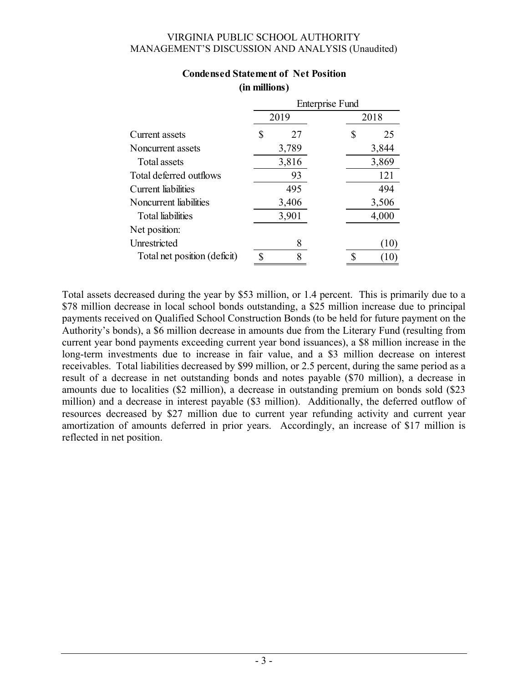|                              | <b>Enterprise Fund</b> |       |  |    |       |  |  |  |
|------------------------------|------------------------|-------|--|----|-------|--|--|--|
|                              |                        | 2019  |  |    | 2018  |  |  |  |
| Current assets               | \$                     | 27    |  | \$ | 25    |  |  |  |
| Noncurrent assets            |                        | 3,789 |  |    | 3,844 |  |  |  |
| Total assets                 |                        | 3,816 |  |    | 3,869 |  |  |  |
| Total deferred outflows      |                        | 93    |  |    | 121   |  |  |  |
| <b>Current</b> liabilities   |                        | 495   |  |    | 494   |  |  |  |
| Noncurrent liabilities       |                        | 3,406 |  |    | 3,506 |  |  |  |
| <b>Total liabilities</b>     |                        | 3,901 |  |    | 4,000 |  |  |  |
| Net position:                |                        |       |  |    |       |  |  |  |
| Unrestricted                 |                        | 8     |  |    | 10    |  |  |  |
| Total net position (deficit) | \$                     | 8     |  |    |       |  |  |  |

### **Condensed Statement of Net Position (in millions)**

Total assets decreased during the year by \$53 million, or 1.4 percent. This is primarily due to a \$78 million decrease in local school bonds outstanding, a \$25 million increase due to principal payments received on Qualified School Construction Bonds (to be held for future payment on the Authority's bonds), a \$6 million decrease in amounts due from the Literary Fund (resulting from current year bond payments exceeding current year bond issuances), a \$8 million increase in the long-term investments due to increase in fair value, and a \$3 million decrease on interest receivables. Total liabilities decreased by \$99 million, or 2.5 percent, during the same period as a result of a decrease in net outstanding bonds and notes payable (\$70 million), a decrease in amounts due to localities (\$2 million), a decrease in outstanding premium on bonds sold (\$23 million) and a decrease in interest payable (\$3 million). Additionally, the deferred outflow of resources decreased by \$27 million due to current year refunding activity and current year amortization of amounts deferred in prior years. Accordingly, an increase of \$17 million is reflected in net position.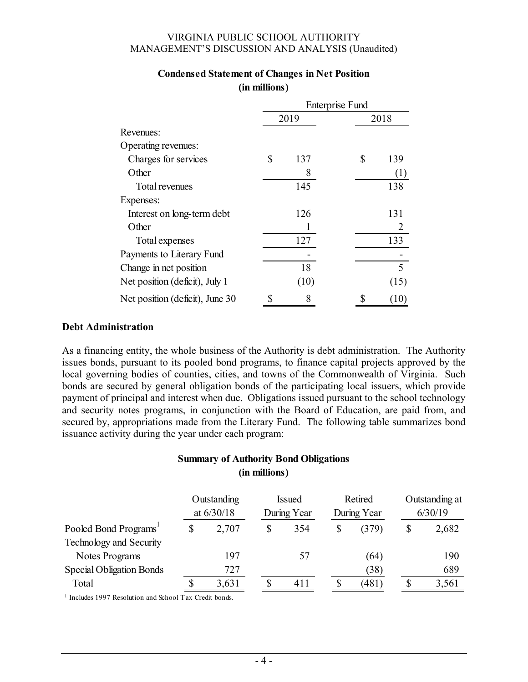|                                 | <b>Enterprise Fund</b> |      |    |                  |  |  |  |  |
|---------------------------------|------------------------|------|----|------------------|--|--|--|--|
|                                 |                        | 2019 |    | 2018             |  |  |  |  |
| Revenues:                       |                        |      |    |                  |  |  |  |  |
| Operating revenues:             |                        |      |    |                  |  |  |  |  |
| Charges for services            | \$                     | 137  | \$ | 139              |  |  |  |  |
| Other                           |                        | 8    |    | $\left(1\right)$ |  |  |  |  |
| Total revenues                  |                        | 145  |    | 138              |  |  |  |  |
| Expenses:                       |                        |      |    |                  |  |  |  |  |
| Interest on long-term debt      |                        | 126  |    | 131              |  |  |  |  |
| Other                           |                        |      |    |                  |  |  |  |  |
| Total expenses                  |                        | 127  |    | 133              |  |  |  |  |
| Payments to Literary Fund       |                        |      |    |                  |  |  |  |  |
| Change in net position          |                        | 18   |    | 5                |  |  |  |  |
| Net position (deficit), July 1  |                        | (10) |    | (15)             |  |  |  |  |
| Net position (deficit), June 30 | \$                     | 8    | \$ | (10)             |  |  |  |  |

#### **(in millions) Condensed Statement of Changes in Net Position**

#### **Debt Administration**

As a financing entity, the whole business of the Authority is debt administration. The Authority issues bonds, pursuant to its pooled bond programs, to finance capital projects approved by the local governing bodies of counties, cities, and towns of the Commonwealth of Virginia. Such bonds are secured by general obligation bonds of the participating local issuers, which provide payment of principal and interest when due. Obligations issued pursuant to the school technology and security notes programs, in conjunction with the Board of Education, are paid from, and secured by, appropriations made from the Literary Fund. The following table summarizes bond issuance activity during the year under each program:

# **Summary of Authority Bond Obligations (in millions)**

|                                 | Outstanding<br>at $6/30/18$ |    | <b>Issued</b><br>During Year |    | Retired<br>During Year | Outstanding at<br>6/30/19 |
|---------------------------------|-----------------------------|----|------------------------------|----|------------------------|---------------------------|
| Pooled Bond Programs            | 2,707                       | \$ | 354                          | \$ | (379)                  | 2,682                     |
| Technology and Security         |                             |    |                              |    |                        |                           |
| Notes Programs                  | 197                         |    | 57                           |    | (64)                   | 190                       |
| <b>Special Obligation Bonds</b> | 727                         |    |                              |    | (38)                   | 689                       |
| Total                           | 3,631                       |    | 411                          |    | (481)                  | 3,561                     |

<sup>1</sup> Includes 1997 Resolution and School Tax Credit bonds.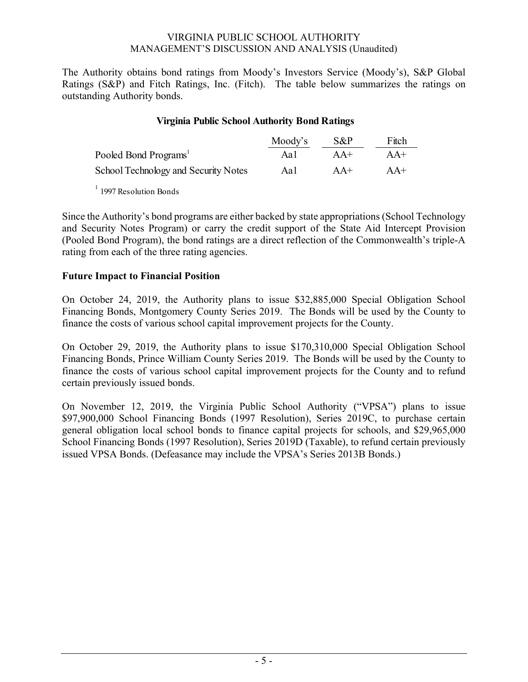The Authority obtains bond ratings from Moody's Investors Service (Moody's), S&P Global Ratings (S&P) and Fitch Ratings, Inc. (Fitch). The table below summarizes the ratings on outstanding Authority bonds.

#### **Virginia Public School Authority Bond Ratings**

|                                      | Moody's | S&P   | Fitch |
|--------------------------------------|---------|-------|-------|
| Pooled Bond Programs <sup>1</sup>    | Aal     | $AA+$ | $AA+$ |
| School Technology and Security Notes | Aal     | $AA+$ | $AA+$ |

<sup>1</sup> 1997 Resolution Bonds

Since the Authority's bond programs are either backed by state appropriations (School Technology and Security Notes Program) or carry the credit support of the State Aid Intercept Provision (Pooled Bond Program), the bond ratings are a direct reflection of the Commonwealth's triple-A rating from each of the three rating agencies.

#### **Future Impact to Financial Position**

On October 24, 2019, the Authority plans to issue \$32,885,000 Special Obligation School Financing Bonds, Montgomery County Series 2019. The Bonds will be used by the County to finance the costs of various school capital improvement projects for the County.

On October 29, 2019, the Authority plans to issue \$170,310,000 Special Obligation School Financing Bonds, Prince William County Series 2019. The Bonds will be used by the County to finance the costs of various school capital improvement projects for the County and to refund certain previously issued bonds.

On November 12, 2019, the Virginia Public School Authority ("VPSA") plans to issue \$97,900,000 School Financing Bonds (1997 Resolution), Series 2019C, to purchase certain general obligation local school bonds to finance capital projects for schools, and \$29,965,000 School Financing Bonds (1997 Resolution), Series 2019D (Taxable), to refund certain previously issued VPSA Bonds. (Defeasance may include the VPSA's Series 2013B Bonds.)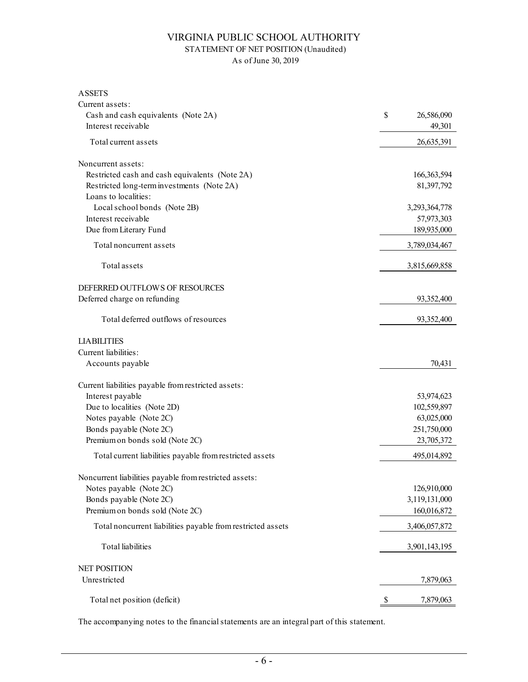# VIRGINIA PUBLIC SCHOOL AUTHORITY

### STATEMENT OF NET POSITION (Unaudited)

As of June 30, 2019

| <b>ASSETS</b>                                               |    |               |
|-------------------------------------------------------------|----|---------------|
| Current assets:                                             |    |               |
| Cash and cash equivalents (Note 2A)                         | \$ | 26,586,090    |
| Interest receivable                                         |    | 49,301        |
| Total current assets                                        |    | 26,635,391    |
| Noncurrent assets:                                          |    |               |
| Restricted cash and cash equivalents (Note 2A)              |    | 166, 363, 594 |
| Restricted long-term investments (Note 2A)                  |    | 81,397,792    |
| Loans to localities:                                        |    |               |
| Local school bonds (Note 2B)                                |    | 3,293,364,778 |
| Interest receivable                                         |    | 57,973,303    |
| Due from Literary Fund                                      |    | 189,935,000   |
|                                                             |    |               |
| Total noncurrent assets                                     |    | 3,789,034,467 |
| Total assets                                                |    | 3,815,669,858 |
| DEFERRED OUTFLOWS OF RESOURCES                              |    |               |
| Deferred charge on refunding                                |    | 93,352,400    |
| Total deferred outflows of resources                        |    | 93,352,400    |
| <b>LIABILITIES</b>                                          |    |               |
| Current liabilities:                                        |    |               |
| Accounts payable                                            |    | 70,431        |
| Current liabilities payable from restricted assets:         |    |               |
| Interest payable                                            |    | 53,974,623    |
| Due to localities (Note 2D)                                 |    | 102,559,897   |
| Notes payable (Note 2C)                                     |    | 63,025,000    |
| Bonds payable (Note 2C)                                     |    | 251,750,000   |
| Premium on bonds sold (Note 2C)                             |    | 23,705,372    |
| Total current liabilities payable from restricted assets    |    | 495,014,892   |
| Noncurrent liabilities payable from restricted assets:      |    |               |
| Notes payable (Note 2C)                                     |    | 126,910,000   |
| Bonds payable (Note 2C)                                     |    | 3,119,131,000 |
| Premium on bonds sold (Note 2C)                             |    | 160,016,872   |
| Total noncurrent liabilities payable from restricted assets |    | 3,406,057,872 |
|                                                             |    |               |
| Total liabilities                                           |    | 3,901,143,195 |
| <b>NET POSITION</b>                                         |    |               |
| Unrestricted                                                |    | 7,879,063     |
| Total net position (deficit)                                | S  | 7,879,063     |

The accompanying notes to the financial statements are an integral part of this statement.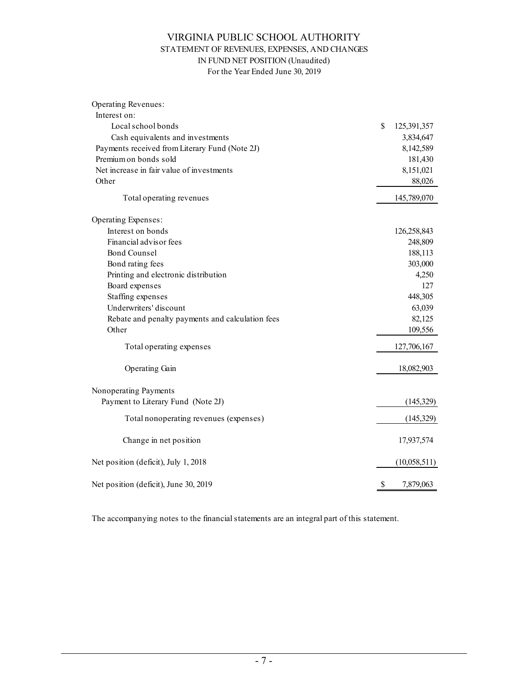#### VIRGINIA PUBLIC SCHOOL AUTHORITY STATEMENT OF REVENUES, EXPENSES, AND CHANGES IN FUND NET POSITION (Unaudited) For the Year Ended June 30, 2019

| Operating Revenues:                              |                   |
|--------------------------------------------------|-------------------|
| Interest on:                                     |                   |
| Local school bonds                               | \$<br>125,391,357 |
| Cash equivalents and investments                 | 3,834,647         |
| Payments received from Literary Fund (Note 2J)   | 8,142,589         |
| Premium on bonds sold                            | 181,430           |
| Net increase in fair value of investments        | 8,151,021         |
| Other                                            | 88,026            |
| Total operating revenues                         | 145,789,070       |
| Operating Expenses:                              |                   |
| Interest on bonds                                | 126,258,843       |
| Financial advisor fees                           | 248,809           |
| <b>Bond Counsel</b>                              | 188,113           |
| Bond rating fees                                 | 303,000           |
| Printing and electronic distribution             | 4,250             |
| Board expenses                                   | 127               |
| Staffing expenses                                | 448,305           |
| Underwriters' discount                           | 63,039            |
| Rebate and penalty payments and calculation fees | 82,125            |
| Other                                            | 109,556           |
| Total operating expenses                         | 127,706,167       |
| Operating Gain                                   | 18,082,903        |
| Nonoperating Payments                            |                   |
| Payment to Literary Fund (Note 2J)               | (145,329)         |
| Total nonoperating revenues (expenses)           | (145, 329)        |
|                                                  |                   |
| Change in net position                           | 17,937,574        |
| Net position (deficit), July 1, 2018             | (10,058,511)      |
| Net position (deficit), June 30, 2019            | \$<br>7,879,063   |

The accompanying notes to the financial statements are an integral part of this statement.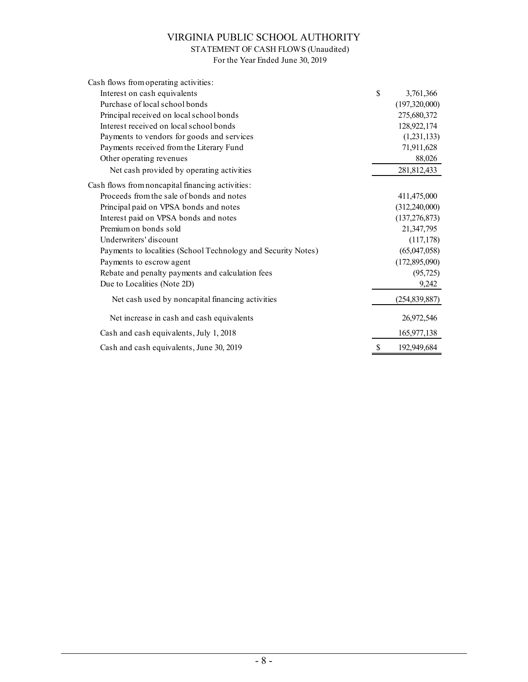# VIRGINIA PUBLIC SCHOOL AUTHORITY

STATEMENT OF CASH FLOWS (Unaudited)

For the Year Ended June 30, 2019

| Cash flows from operating activities:                         |                   |
|---------------------------------------------------------------|-------------------|
| Interest on cash equivalents                                  | \$<br>3,761,366   |
| Purchase of local school bonds                                | (197,320,000)     |
| Principal received on local school bonds                      | 275,680,372       |
| Interest received on local school bonds                       | 128,922,174       |
| Payments to vendors for goods and services                    | (1,231,133)       |
| Payments received from the Literary Fund                      | 71,911,628        |
| Other operating revenues                                      | 88,026            |
| Net cash provided by operating activities                     | 281,812,433       |
| Cash flows from noncapital financing activities:              |                   |
| Proceeds from the sale of bonds and notes                     | 411,475,000       |
| Principal paid on VPSA bonds and notes                        | (312, 240, 000)   |
| Interest paid on VPSA bonds and notes                         | (137, 276, 873)   |
| Premium on bonds sold                                         | 21,347,795        |
| Underwriters' discount                                        | (117, 178)        |
| Payments to localities (School Technology and Security Notes) | (65,047,058)      |
| Payments to escrow agent                                      | (172, 895, 090)   |
| Rebate and penalty payments and calculation fees              | (95, 725)         |
| Due to Localities (Note 2D)                                   | 9,242             |
| Net cash used by noncapital financing activities              | (254, 839, 887)   |
| Net increase in cash and cash equivalents                     | 26,972,546        |
| Cash and cash equivalents, July 1, 2018                       | 165,977,138       |
| Cash and cash equivalents, June 30, 2019                      | \$<br>192,949,684 |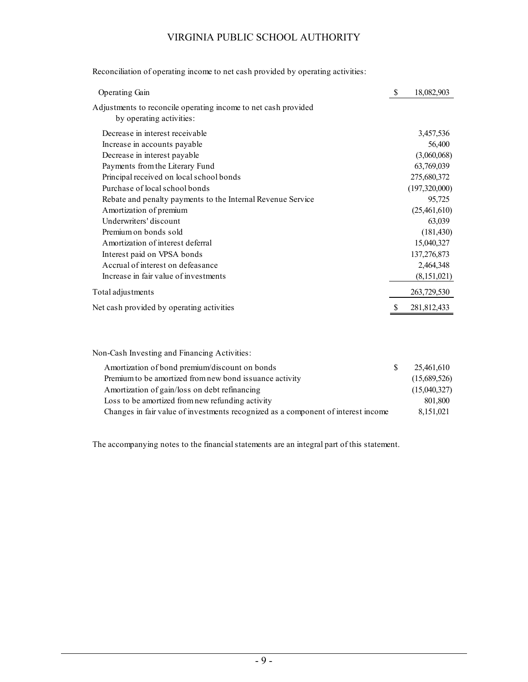## VIRGINIA PUBLIC SCHOOL AUTHORITY

Reconciliation of operating income to net cash provided by operating activities:

| Operating Gain                                                                             | S | 18,082,903    |
|--------------------------------------------------------------------------------------------|---|---------------|
| Adjustments to reconcile operating income to net cash provided<br>by operating activities: |   |               |
| Decrease in interest receivable                                                            |   | 3,457,536     |
| Increase in accounts payable                                                               |   | 56,400        |
| Decrease in interest payable                                                               |   | (3,060,068)   |
| Payments from the Literary Fund                                                            |   | 63,769,039    |
| Principal received on local school bonds                                                   |   | 275,680,372   |
| Purchase of local school bonds                                                             |   | (197,320,000) |
| Rebate and penalty payments to the Internal Revenue Service                                |   | 95,725        |
| Amortization of premium                                                                    |   | (25,461,610)  |
| Underwriters' discount                                                                     |   | 63,039        |
| Premium on bonds sold                                                                      |   | (181, 430)    |
| Amortization of interest deferral                                                          |   | 15,040,327    |
| Interest paid on VPSA bonds                                                                |   | 137,276,873   |
| Accrual of interest on defeasance                                                          |   | 2,464,348     |
| Increase in fair value of investments                                                      |   | (8,151,021)   |
| Total adjustments                                                                          |   | 263,729,530   |
| Net cash provided by operating activities                                                  |   | 281,812,433   |
|                                                                                            |   |               |

Non-Cash Investing and Financing Activities:

| Amortization of bond premium/discount on bonds                                    | -8 | 25.461.610   |
|-----------------------------------------------------------------------------------|----|--------------|
| Premium to be amortized from new bond is suance activity                          |    | (15,689,526) |
| Amortization of gain/loss on debt refinancing                                     |    | (15,040,327) |
| Loss to be amortized from new refunding activity                                  |    | 801.800      |
| Changes in fair value of investments recognized as a component of interest income |    | 8,151,021    |

The accompanying notes to the financial statements are an integral part of this statement.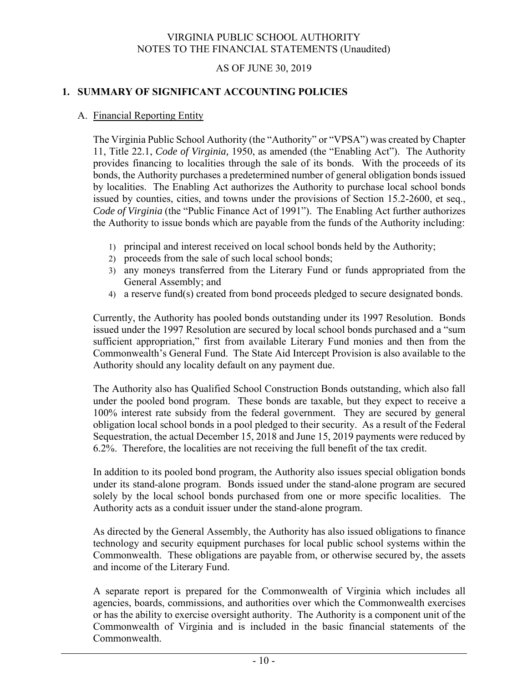#### AS OF JUNE 30, 2019

### **1. SUMMARY OF SIGNIFICANT ACCOUNTING POLICIES**

#### A. Financial Reporting Entity

The Virginia Public School Authority (the "Authority" or "VPSA") was created by Chapter 11, Title 22.1, *Code of Virginia,* 1950, as amended (the "Enabling Act"). The Authority provides financing to localities through the sale of its bonds. With the proceeds of its bonds, the Authority purchases a predetermined number of general obligation bonds issued by localities. The Enabling Act authorizes the Authority to purchase local school bonds issued by counties, cities, and towns under the provisions of Section 15.2-2600, et seq., *Code of Virginia* (the "Public Finance Act of 1991"). The Enabling Act further authorizes the Authority to issue bonds which are payable from the funds of the Authority including:

- 1) principal and interest received on local school bonds held by the Authority;
- 2) proceeds from the sale of such local school bonds;
- 3) any moneys transferred from the Literary Fund or funds appropriated from the General Assembly; and
- 4) a reserve fund(s) created from bond proceeds pledged to secure designated bonds.

Currently, the Authority has pooled bonds outstanding under its 1997 Resolution. Bonds issued under the 1997 Resolution are secured by local school bonds purchased and a "sum sufficient appropriation," first from available Literary Fund monies and then from the Commonwealth's General Fund. The State Aid Intercept Provision is also available to the Authority should any locality default on any payment due.

The Authority also has Qualified School Construction Bonds outstanding, which also fall under the pooled bond program. These bonds are taxable, but they expect to receive a 100% interest rate subsidy from the federal government. They are secured by general obligation local school bonds in a pool pledged to their security. As a result of the Federal Sequestration, the actual December 15, 2018 and June 15, 2019 payments were reduced by 6.2%. Therefore, the localities are not receiving the full benefit of the tax credit.

In addition to its pooled bond program, the Authority also issues special obligation bonds under its stand-alone program. Bonds issued under the stand-alone program are secured solely by the local school bonds purchased from one or more specific localities. The Authority acts as a conduit issuer under the stand-alone program.

As directed by the General Assembly, the Authority has also issued obligations to finance technology and security equipment purchases for local public school systems within the Commonwealth. These obligations are payable from, or otherwise secured by, the assets and income of the Literary Fund.

A separate report is prepared for the Commonwealth of Virginia which includes all agencies, boards, commissions, and authorities over which the Commonwealth exercises or has the ability to exercise oversight authority. The Authority is a component unit of the Commonwealth of Virginia and is included in the basic financial statements of the Commonwealth.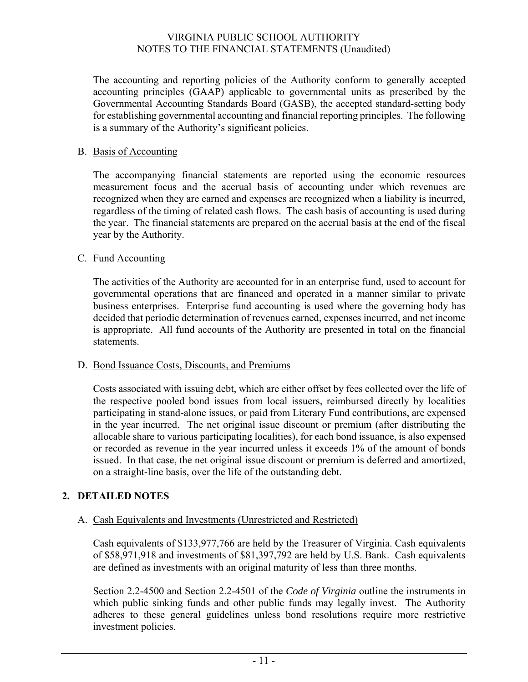The accounting and reporting policies of the Authority conform to generally accepted accounting principles (GAAP) applicable to governmental units as prescribed by the Governmental Accounting Standards Board (GASB), the accepted standard-setting body for establishing governmental accounting and financial reporting principles. The following is a summary of the Authority's significant policies.

#### B. Basis of Accounting

The accompanying financial statements are reported using the economic resources measurement focus and the accrual basis of accounting under which revenues are recognized when they are earned and expenses are recognized when a liability is incurred, regardless of the timing of related cash flows. The cash basis of accounting is used during the year. The financial statements are prepared on the accrual basis at the end of the fiscal year by the Authority.

#### C. Fund Accounting

The activities of the Authority are accounted for in an enterprise fund, used to account for governmental operations that are financed and operated in a manner similar to private business enterprises. Enterprise fund accounting is used where the governing body has decided that periodic determination of revenues earned, expenses incurred, and net income is appropriate. All fund accounts of the Authority are presented in total on the financial statements.

#### D. Bond Issuance Costs, Discounts, and Premiums

Costs associated with issuing debt, which are either offset by fees collected over the life of the respective pooled bond issues from local issuers, reimbursed directly by localities participating in stand-alone issues, or paid from Literary Fund contributions, are expensed in the year incurred. The net original issue discount or premium (after distributing the allocable share to various participating localities), for each bond issuance, is also expensed or recorded as revenue in the year incurred unless it exceeds 1% of the amount of bonds issued. In that case, the net original issue discount or premium is deferred and amortized, on a straight-line basis, over the life of the outstanding debt.

#### **2. DETAILED NOTES**

#### A. Cash Equivalents and Investments (Unrestricted and Restricted)

Cash equivalents of \$133,977,766 are held by the Treasurer of Virginia. Cash equivalents of \$58,971,918 and investments of \$81,397,792 are held by U.S. Bank. Cash equivalents are defined as investments with an original maturity of less than three months.

Section 2.2-4500 and Section 2.2-4501 of the *Code of Virginia* outline the instruments in which public sinking funds and other public funds may legally invest. The Authority adheres to these general guidelines unless bond resolutions require more restrictive investment policies.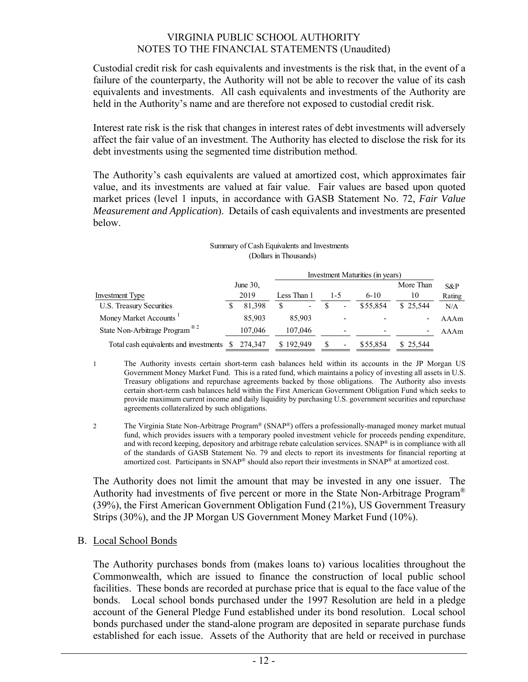Custodial credit risk for cash equivalents and investments is the risk that, in the event of a failure of the counterparty, the Authority will not be able to recover the value of its cash equivalents and investments. All cash equivalents and investments of the Authority are held in the Authority's name and are therefore not exposed to custodial credit risk.

Interest rate risk is the risk that changes in interest rates of debt investments will adversely affect the fair value of an investment. The Authority has elected to disclose the risk for its debt investments using the segmented time distribution method.

The Authority's cash equivalents are valued at amortized cost, which approximates fair value, and its investments are valued at fair value. Fair values are based upon quoted market prices (level 1 inputs, in accordance with GASB Statement No. 72, *Fair Value Measurement and Application*). Details of cash equivalents and investments are presented below.

#### (Dollars in Thousands) Summary of Cash Equivalents and Investments

|                                           | Investment Maturities (in years) |          |             |                          |     |                          |          |           |        |
|-------------------------------------------|----------------------------------|----------|-------------|--------------------------|-----|--------------------------|----------|-----------|--------|
|                                           |                                  | June 30, |             |                          |     |                          |          | More Than | $S\&P$ |
| Investment Type                           |                                  | 2019     | Less Than 1 |                          | 1-5 |                          | $6 - 10$ | 10        | Rating |
| U.S. Treasury Securities                  |                                  | 81,398   | S           | $\overline{\phantom{a}}$ |     | $\blacksquare$           | \$55,854 | \$ 25,544 | N/A    |
| Money Market Accounts <sup>1</sup>        |                                  | 85,903   |             | 85,903                   |     |                          |          |           | AAAm   |
| State Non-Arbitrage Program <sup>®2</sup> |                                  | 107,046  |             | 107,046                  |     | $\overline{\phantom{0}}$ | -        |           | AAAm   |
| Total cash equivalents and investments    | - S                              | 274,347  | \$192,949   |                          |     | ۰                        | \$55,854 | \$25,544  |        |

1 The Authority invests certain short-term cash balances held within its accounts in the JP Morgan US Government Money Market Fund. This is a rated fund, which maintains a policy of investing all assets in U.S. Treasury obligations and repurchase agreements backed by those obligations. The Authority also invests certain short-term cash balances held within the First American Government Obligation Fund which seeks to provide maximum current income and daily liquidity by purchasing U.S. government securities and repurchase agreements collateralized by such obligations.

2 The Virginia State Non-Arbitrage Program® (SNAP®) offers a professionally-managed money market mutual fund, which provides issuers with a temporary pooled investment vehicle for proceeds pending expenditure, and with record keeping, depository and arbitrage rebate calculation services. SNAP® is in compliance with all of the standards of GASB Statement No. 79 and elects to report its investments for financial reporting at amortized cost. Participants in SNAP® should also report their investments in SNAP® at amortized cost.

The Authority does not limit the amount that may be invested in any one issuer. The Authority had investments of five percent or more in the State Non-Arbitrage Program<sup>®</sup> (39%), the First American Government Obligation Fund (21%), US Government Treasury Strips (30%), and the JP Morgan US Government Money Market Fund (10%).

#### B. Local School Bonds

The Authority purchases bonds from (makes loans to) various localities throughout the Commonwealth, which are issued to finance the construction of local public school facilities. These bonds are recorded at purchase price that is equal to the face value of the bonds. Local school bonds purchased under the 1997 Resolution are held in a pledge account of the General Pledge Fund established under its bond resolution. Local school bonds purchased under the stand-alone program are deposited in separate purchase funds established for each issue. Assets of the Authority that are held or received in purchase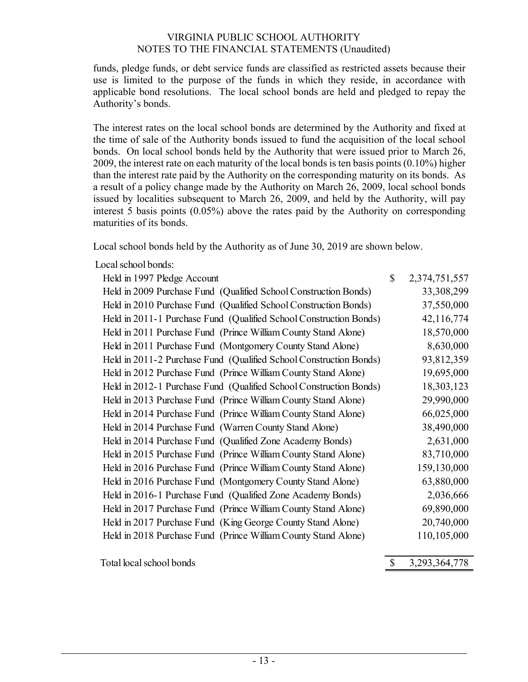funds, pledge funds, or debt service funds are classified as restricted assets because their use is limited to the purpose of the funds in which they reside, in accordance with applicable bond resolutions. The local school bonds are held and pledged to repay the Authority's bonds.

The interest rates on the local school bonds are determined by the Authority and fixed at the time of sale of the Authority bonds issued to fund the acquisition of the local school bonds. On local school bonds held by the Authority that were issued prior to March 26, 2009, the interest rate on each maturity of the local bonds is ten basis points (0.10%) higher than the interest rate paid by the Authority on the corresponding maturity on its bonds. As a result of a policy change made by the Authority on March 26, 2009, local school bonds issued by localities subsequent to March 26, 2009, and held by the Authority, will pay interest 5 basis points (0.05%) above the rates paid by the Authority on corresponding maturities of its bonds.

Local school bonds held by the Authority as of June 30, 2019 are shown below.

Local school bonds:

| Held in 1997 Pledge Account                                        | $\mathbb{S}$  | 2,374,751,557 |
|--------------------------------------------------------------------|---------------|---------------|
| Held in 2009 Purchase Fund (Qualified School Construction Bonds)   |               | 33,308,299    |
| Held in 2010 Purchase Fund (Qualified School Construction Bonds)   |               | 37,550,000    |
| Held in 2011-1 Purchase Fund (Qualified School Construction Bonds) |               | 42,116,774    |
| Held in 2011 Purchase Fund (Prince William County Stand Alone)     |               | 18,570,000    |
| Held in 2011 Purchase Fund (Montgomery County Stand Alone)         |               | 8,630,000     |
| Held in 2011-2 Purchase Fund (Qualified School Construction Bonds) |               | 93,812,359    |
| Held in 2012 Purchase Fund (Prince William County Stand Alone)     |               | 19,695,000    |
| Held in 2012-1 Purchase Fund (Qualified School Construction Bonds) |               | 18,303,123    |
| Held in 2013 Purchase Fund (Prince William County Stand Alone)     |               | 29,990,000    |
| Held in 2014 Purchase Fund (Prince William County Stand Alone)     |               | 66,025,000    |
| Held in 2014 Purchase Fund (Warren County Stand Alone)             |               | 38,490,000    |
| Held in 2014 Purchase Fund (Qualified Zone Academy Bonds)          |               | 2,631,000     |
| Held in 2015 Purchase Fund (Prince William County Stand Alone)     |               | 83,710,000    |
| Held in 2016 Purchase Fund (Prince William County Stand Alone)     |               | 159,130,000   |
| Held in 2016 Purchase Fund (Montgomery County Stand Alone)         |               | 63,880,000    |
| Held in 2016-1 Purchase Fund (Qualified Zone Academy Bonds)        |               | 2,036,666     |
| Held in 2017 Purchase Fund (Prince William County Stand Alone)     |               | 69,890,000    |
| Held in 2017 Purchase Fund (King George County Stand Alone)        |               | 20,740,000    |
| Held in 2018 Purchase Fund (Prince William County Stand Alone)     |               | 110,105,000   |
|                                                                    |               |               |
| Total local school bonds                                           | $\mathcal{S}$ | 3,293,364,778 |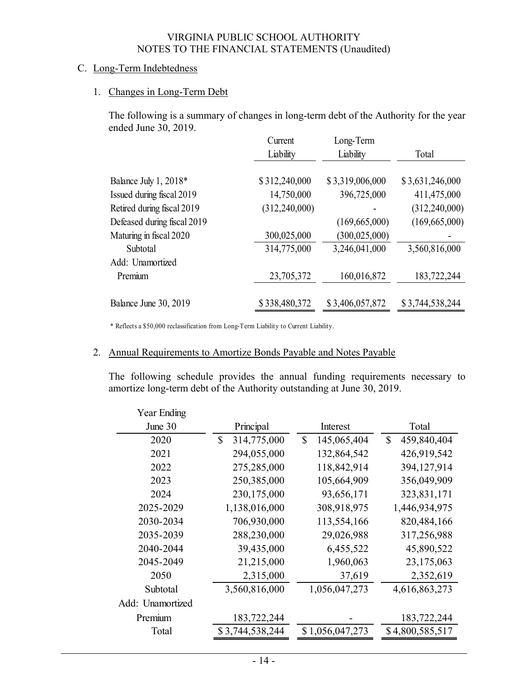### C. Long-Term Indebtedness

#### 1. Changes in Long-Term Debt

The following is a summary of changes in long-term debt of the Authority for the year ended June 30, 2019.

|                             | Current         | Long-Term       |                 |
|-----------------------------|-----------------|-----------------|-----------------|
|                             | Liability       | Liability       | Total           |
|                             |                 |                 |                 |
| Balance July 1, 2018*       | \$312,240,000   | \$3,319,006,000 | \$3,631,246,000 |
| Issued during fiscal 2019   | 14,750,000      | 396,725,000     | 411,475,000     |
| Retired during fiscal 2019  | (312, 240, 000) |                 | (312, 240, 000) |
| Defeased during fiscal 2019 |                 | (169, 665, 000) | (169, 665, 000) |
| Maturing in fiscal 2020     | 300,025,000     | (300, 025, 000) |                 |
| Subtotal                    | 314,775,000     | 3,246,041,000   | 3,560,816,000   |
| Add: Unamortized            |                 |                 |                 |
| Premium                     | 23,705,372      | 160,016,872     | 183,722,244     |
|                             |                 |                 |                 |
| Balance June 30, 2019       | \$338,480,372   | \$3,406,057,872 | \$3,744,538,244 |
|                             |                 |                 |                 |

\* Reflects a \$50,000 reclassification from Long-Term Liability to Current Liability.

## 2. Annual Requirements to Amortize Bonds Payable and Notes Payable

The following schedule provides the annual funding requirements necessary to amortize long-term debt of the Authority outstanding at June 30, 2019.

| Year Ending      |                   |                   |                   |
|------------------|-------------------|-------------------|-------------------|
| June 30          | Principal         | Interest          | Total             |
| 2020             | 314,775,000<br>\$ | \$<br>145,065,404 | \$<br>459,840,404 |
| 2021             | 294,055,000       | 132,864,542       | 426,919,542       |
| 2022             | 275,285,000       | 118,842,914       | 394,127,914       |
| 2023             | 250,385,000       | 105,664,909       | 356,049,909       |
| 2024             | 230,175,000       | 93,656,171        | 323,831,171       |
| 2025-2029        | 1,138,016,000     | 308,918,975       | 1,446,934,975     |
| 2030-2034        | 706,930,000       | 113,554,166       | 820,484,166       |
| 2035-2039        | 288,230,000       | 29,026,988        | 317,256,988       |
| 2040-2044        | 39,435,000        | 6,455,522         | 45,890,522        |
| 2045-2049        | 21,215,000        | 1,960,063         | 23,175,063        |
| 2050             | 2,315,000         | 37,619            | 2,352,619         |
| Subtotal         | 3,560,816,000     | 1,056,047,273     | 4,616,863,273     |
| Add: Unamortized |                   |                   |                   |
| Premium          | 183,722,244       |                   | 183,722,244       |
| Total            | \$3,744,538,244   | \$1,056,047,273   | \$4,800,585,517   |
|                  |                   |                   |                   |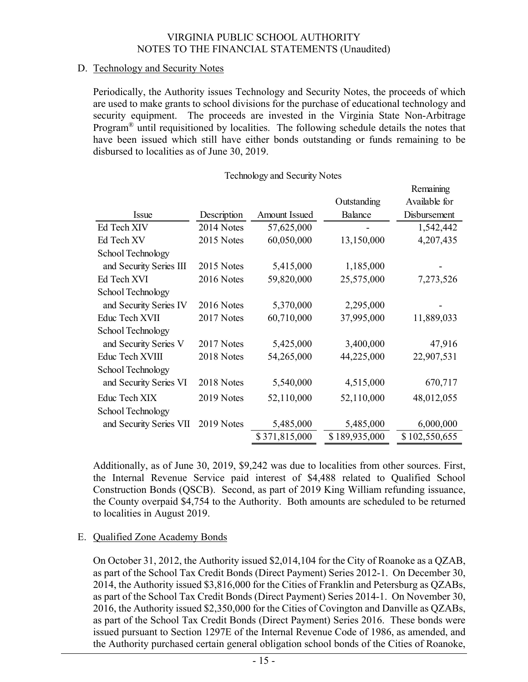#### D. Technology and Security Notes

Periodically, the Authority issues Technology and Security Notes, the proceeds of which are used to make grants to school divisions for the purchase of educational technology and security equipment. The proceeds are invested in the Virginia State Non-Arbitrage Program® until requisitioned by localities. The following schedule details the notes that have been issued which still have either bonds outstanding or funds remaining to be disbursed to localities as of June 30, 2019.

Technology and Security Notes

|                         |             |                      |               | Remaining     |
|-------------------------|-------------|----------------------|---------------|---------------|
|                         |             |                      | Outstanding   | Available for |
| Issue                   | Description | <b>Amount Issued</b> | Balance       | Disbursement  |
| Ed Tech XIV             | 2014 Notes  | 57,625,000           |               | 1,542,442     |
| Ed Tech XV              | 2015 Notes  | 60,050,000           | 13,150,000    | 4,207,435     |
| School Technology       |             |                      |               |               |
| and Security Series III | 2015 Notes  | 5,415,000            | 1,185,000     |               |
| Ed Tech XVI             | 2016 Notes  | 59,820,000           | 25,575,000    | 7,273,526     |
| School Technology       |             |                      |               |               |
| and Security Series IV  | 2016 Notes  | 5,370,000            | 2,295,000     |               |
| Educ Tech XVII          | 2017 Notes  | 60,710,000           | 37,995,000    | 11,889,033    |
| School Technology       |             |                      |               |               |
| and Security Series V   | 2017 Notes  | 5,425,000            | 3,400,000     | 47,916        |
| Educ Tech XVIII         | 2018 Notes  | 54,265,000           | 44,225,000    | 22,907,531    |
| School Technology       |             |                      |               |               |
| and Security Series VI  | 2018 Notes  | 5,540,000            | 4,515,000     | 670,717       |
| Educ Tech XIX           | 2019 Notes  | 52,110,000           | 52,110,000    | 48,012,055    |
| School Technology       |             |                      |               |               |
| and Security Series VII | 2019 Notes  | 5,485,000            | 5,485,000     | 6,000,000     |
|                         |             | \$371,815,000        | \$189,935,000 | \$102,550,655 |

Additionally, as of June 30, 2019, \$9,242 was due to localities from other sources. First, the Internal Revenue Service paid interest of \$4,488 related to Qualified School Construction Bonds (QSCB). Second, as part of 2019 King William refunding issuance, the County overpaid \$4,754 to the Authority. Both amounts are scheduled to be returned to localities in August 2019.

#### E. Qualified Zone Academy Bonds

 On October 31, 2012, the Authority issued \$2,014,104 for the City of Roanoke as a QZAB, as part of the School Tax Credit Bonds (Direct Payment) Series 2012-1. On December 30, 2014, the Authority issued \$3,816,000 for the Cities of Franklin and Petersburg as QZABs, as part of the School Tax Credit Bonds (Direct Payment) Series 2014-1. On November 30, 2016, the Authority issued \$2,350,000 for the Cities of Covington and Danville as QZABs, as part of the School Tax Credit Bonds (Direct Payment) Series 2016. These bonds were issued pursuant to Section 1297E of the Internal Revenue Code of 1986, as amended, and the Authority purchased certain general obligation school bonds of the Cities of Roanoke,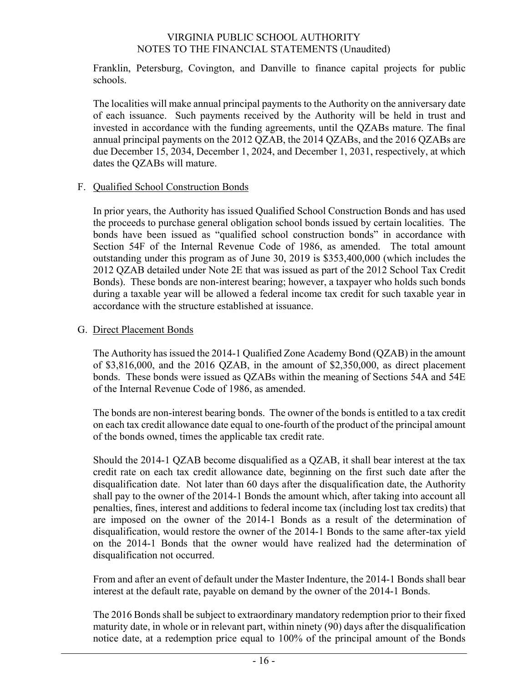Franklin, Petersburg, Covington, and Danville to finance capital projects for public schools.

 The localities will make annual principal payments to the Authority on the anniversary date of each issuance. Such payments received by the Authority will be held in trust and invested in accordance with the funding agreements, until the QZABs mature. The final annual principal payments on the 2012 QZAB, the 2014 QZABs, and the 2016 QZABs are due December 15, 2034, December 1, 2024, and December 1, 2031, respectively, at which dates the QZABs will mature.

#### F. Qualified School Construction Bonds

In prior years, the Authority has issued Qualified School Construction Bonds and has used the proceeds to purchase general obligation school bonds issued by certain localities. The bonds have been issued as "qualified school construction bonds" in accordance with Section 54F of the Internal Revenue Code of 1986, as amended. The total amount outstanding under this program as of June 30, 2019 is \$353,400,000 (which includes the 2012 QZAB detailed under Note 2E that was issued as part of the 2012 School Tax Credit Bonds). These bonds are non-interest bearing; however, a taxpayer who holds such bonds during a taxable year will be allowed a federal income tax credit for such taxable year in accordance with the structure established at issuance.

#### G. Direct Placement Bonds

The Authority has issued the 2014-1 Qualified Zone Academy Bond (QZAB) in the amount of \$3,816,000, and the 2016 QZAB, in the amount of \$2,350,000, as direct placement bonds. These bonds were issued as QZABs within the meaning of Sections 54A and 54E of the Internal Revenue Code of 1986, as amended.

The bonds are non-interest bearing bonds. The owner of the bonds is entitled to a tax credit on each tax credit allowance date equal to one-fourth of the product of the principal amount of the bonds owned, times the applicable tax credit rate.

Should the 2014-1 QZAB become disqualified as a QZAB, it shall bear interest at the tax credit rate on each tax credit allowance date, beginning on the first such date after the disqualification date. Not later than 60 days after the disqualification date, the Authority shall pay to the owner of the 2014-1 Bonds the amount which, after taking into account all penalties, fines, interest and additions to federal income tax (including lost tax credits) that are imposed on the owner of the 2014-1 Bonds as a result of the determination of disqualification, would restore the owner of the 2014-1 Bonds to the same after-tax yield on the 2014-1 Bonds that the owner would have realized had the determination of disqualification not occurred.

From and after an event of default under the Master Indenture, the 2014-1 Bonds shall bear interest at the default rate, payable on demand by the owner of the 2014-1 Bonds.

The 2016 Bonds shall be subject to extraordinary mandatory redemption prior to their fixed maturity date, in whole or in relevant part, within ninety (90) days after the disqualification notice date, at a redemption price equal to 100% of the principal amount of the Bonds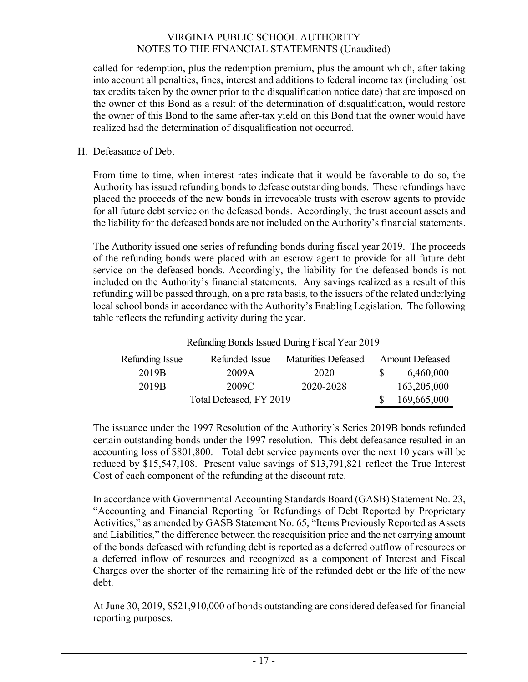called for redemption, plus the redemption premium, plus the amount which, after taking into account all penalties, fines, interest and additions to federal income tax (including lost tax credits taken by the owner prior to the disqualification notice date) that are imposed on the owner of this Bond as a result of the determination of disqualification, would restore the owner of this Bond to the same after-tax yield on this Bond that the owner would have realized had the determination of disqualification not occurred.

#### H. Defeasance of Debt

From time to time, when interest rates indicate that it would be favorable to do so, the Authority has issued refunding bonds to defease outstanding bonds. These refundings have placed the proceeds of the new bonds in irrevocable trusts with escrow agents to provide for all future debt service on the defeased bonds. Accordingly, the trust account assets and the liability for the defeased bonds are not included on the Authority's financial statements.

The Authority issued one series of refunding bonds during fiscal year 2019. The proceeds of the refunding bonds were placed with an escrow agent to provide for all future debt service on the defeased bonds. Accordingly, the liability for the defeased bonds is not included on the Authority's financial statements. Any savings realized as a result of this refunding will be passed through, on a pro rata basis, to the issuers of the related underlying local school bonds in accordance with the Authority's Enabling Legislation. The following table reflects the refunding activity during the year.

Refunding Bonds Issued During Fiscal Year 2019

| Refunding Issue<br>Refunded Issue |                         | <b>Maturities Defeased</b> | <b>Amount Defeased</b> |
|-----------------------------------|-------------------------|----------------------------|------------------------|
| 2019B                             | 2009A                   | 2020                       | 6,460,000              |
| 2019B                             | 2009C                   | 2020-2028                  | 163,205,000            |
|                                   | Total Defeased, FY 2019 |                            | 169,665,000            |

The issuance under the 1997 Resolution of the Authority's Series 2019B bonds refunded certain outstanding bonds under the 1997 resolution. This debt defeasance resulted in an accounting loss of \$801,800. Total debt service payments over the next 10 years will be reduced by \$15,547,108. Present value savings of \$13,791,821 reflect the True Interest Cost of each component of the refunding at the discount rate.

In accordance with Governmental Accounting Standards Board (GASB) Statement No. 23, "Accounting and Financial Reporting for Refundings of Debt Reported by Proprietary Activities," as amended by GASB Statement No. 65, "Items Previously Reported as Assets and Liabilities," the difference between the reacquisition price and the net carrying amount of the bonds defeased with refunding debt is reported as a deferred outflow of resources or a deferred inflow of resources and recognized as a component of Interest and Fiscal Charges over the shorter of the remaining life of the refunded debt or the life of the new debt.

At June 30, 2019, \$521,910,000 of bonds outstanding are considered defeased for financial reporting purposes.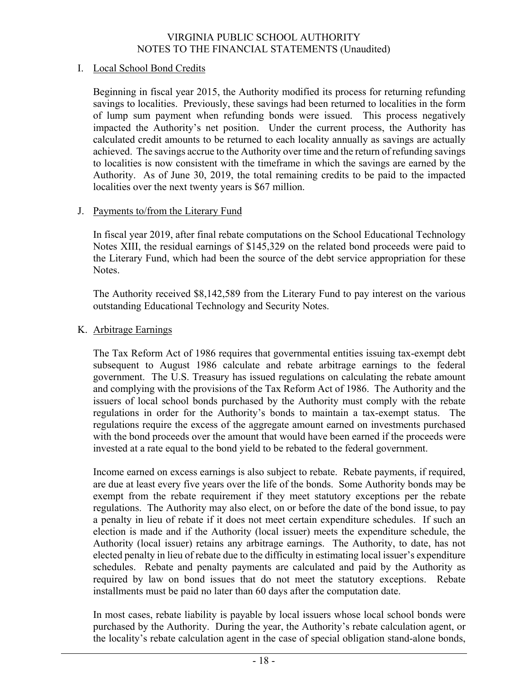#### I. Local School Bond Credits

Beginning in fiscal year 2015, the Authority modified its process for returning refunding savings to localities. Previously, these savings had been returned to localities in the form of lump sum payment when refunding bonds were issued. This process negatively impacted the Authority's net position. Under the current process, the Authority has calculated credit amounts to be returned to each locality annually as savings are actually achieved. The savings accrue to the Authority over time and the return of refunding savings to localities is now consistent with the timeframe in which the savings are earned by the Authority. As of June 30, 2019, the total remaining credits to be paid to the impacted localities over the next twenty years is \$67 million.

#### J. Payments to/from the Literary Fund

In fiscal year 2019, after final rebate computations on the School Educational Technology Notes XIII, the residual earnings of \$145,329 on the related bond proceeds were paid to the Literary Fund, which had been the source of the debt service appropriation for these Notes.

The Authority received \$8,142,589 from the Literary Fund to pay interest on the various outstanding Educational Technology and Security Notes.

#### K. Arbitrage Earnings

The Tax Reform Act of 1986 requires that governmental entities issuing tax-exempt debt subsequent to August 1986 calculate and rebate arbitrage earnings to the federal government. The U.S. Treasury has issued regulations on calculating the rebate amount and complying with the provisions of the Tax Reform Act of 1986. The Authority and the issuers of local school bonds purchased by the Authority must comply with the rebate regulations in order for the Authority's bonds to maintain a tax-exempt status. The regulations require the excess of the aggregate amount earned on investments purchased with the bond proceeds over the amount that would have been earned if the proceeds were invested at a rate equal to the bond yield to be rebated to the federal government.

Income earned on excess earnings is also subject to rebate. Rebate payments, if required, are due at least every five years over the life of the bonds. Some Authority bonds may be exempt from the rebate requirement if they meet statutory exceptions per the rebate regulations. The Authority may also elect, on or before the date of the bond issue, to pay a penalty in lieu of rebate if it does not meet certain expenditure schedules. If such an election is made and if the Authority (local issuer) meets the expenditure schedule, the Authority (local issuer) retains any arbitrage earnings. The Authority, to date, has not elected penalty in lieu of rebate due to the difficulty in estimating local issuer's expenditure schedules. Rebate and penalty payments are calculated and paid by the Authority as required by law on bond issues that do not meet the statutory exceptions. Rebate installments must be paid no later than 60 days after the computation date.

In most cases, rebate liability is payable by local issuers whose local school bonds were purchased by the Authority. During the year, the Authority's rebate calculation agent, or the locality's rebate calculation agent in the case of special obligation stand-alone bonds,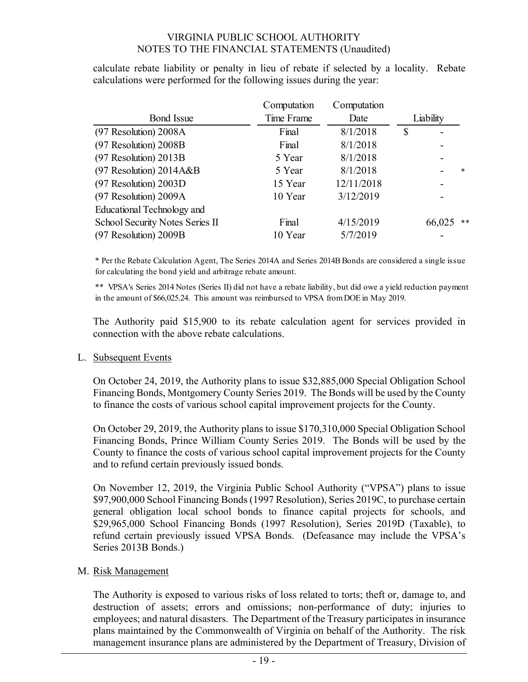calculate rebate liability or penalty in lieu of rebate if selected by a locality. Rebate calculations were performed for the following issues during the year:

|                                 | Computation | Computation |           |                          |               |
|---------------------------------|-------------|-------------|-----------|--------------------------|---------------|
| <b>Bond Issue</b>               | Time Frame  | Date        | Liability |                          |               |
| (97 Resolution) 2008A           | Final       | 8/1/2018    | \$        |                          |               |
| (97 Resolution) 2008B           | Final       | 8/1/2018    |           |                          |               |
| (97 Resolution) 2013B           | 5 Year      | 8/1/2018    |           |                          |               |
| (97 Resolution) 2014A&B         | 5 Year      | 8/1/2018    |           |                          | $\star$       |
| (97 Resolution) 2003D           | 15 Year     | 12/11/2018  |           | $\overline{\phantom{0}}$ |               |
| (97 Resolution) 2009A           | 10 Year     | 3/12/2019   |           |                          |               |
| Educational Technology and      |             |             |           |                          |               |
| School Security Notes Series II | Final       | 4/15/2019   |           | 66,025                   | $\ast$ $\ast$ |
| (97 Resolution) 2009B           | 10 Year     | 5/7/2019    |           |                          |               |

\* Per the Rebate Calculation Agent, The Series 2014A and Series 2014B Bonds are considered a single issue for calculating the bond yield and arbitrage rebate amount.

\*\* VPSA's Series 2014 Notes (Series II) did not have a rebate liability, but did owe a yield reduction payment in the amount of \$66,025.24. This amount was reimbursed to VPSA from DOE in May 2019.

The Authority paid \$15,900 to its rebate calculation agent for services provided in connection with the above rebate calculations.

#### L. Subsequent Events

On October 24, 2019, the Authority plans to issue \$32,885,000 Special Obligation School Financing Bonds, Montgomery County Series 2019. The Bonds will be used by the County to finance the costs of various school capital improvement projects for the County.

On October 29, 2019, the Authority plans to issue \$170,310,000 Special Obligation School Financing Bonds, Prince William County Series 2019. The Bonds will be used by the County to finance the costs of various school capital improvement projects for the County and to refund certain previously issued bonds.

On November 12, 2019, the Virginia Public School Authority ("VPSA") plans to issue \$97,900,000 School Financing Bonds (1997 Resolution), Series 2019C, to purchase certain general obligation local school bonds to finance capital projects for schools, and \$29,965,000 School Financing Bonds (1997 Resolution), Series 2019D (Taxable), to refund certain previously issued VPSA Bonds. (Defeasance may include the VPSA's Series 2013B Bonds.)

#### M. Risk Management

The Authority is exposed to various risks of loss related to torts; theft or, damage to, and destruction of assets; errors and omissions; non-performance of duty; injuries to employees; and natural disasters. The Department of the Treasury participates in insurance plans maintained by the Commonwealth of Virginia on behalf of the Authority. The risk management insurance plans are administered by the Department of Treasury, Division of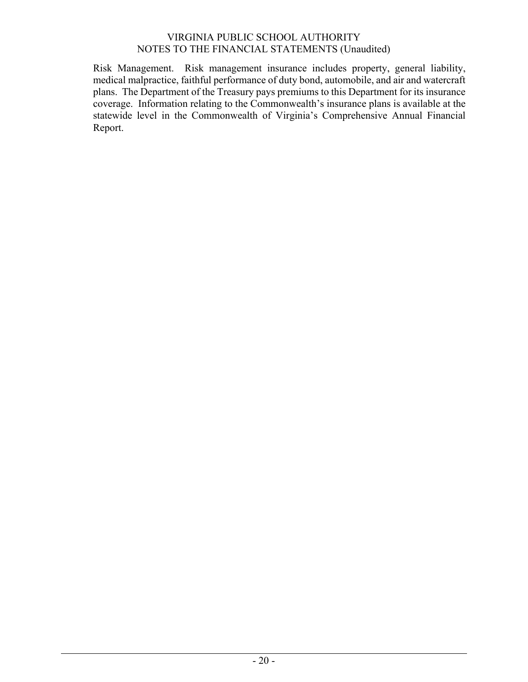Risk Management. Risk management insurance includes property, general liability, medical malpractice, faithful performance of duty bond, automobile, and air and watercraft plans. The Department of the Treasury pays premiums to this Department for its insurance coverage. Information relating to the Commonwealth's insurance plans is available at the statewide level in the Commonwealth of Virginia's Comprehensive Annual Financial Report.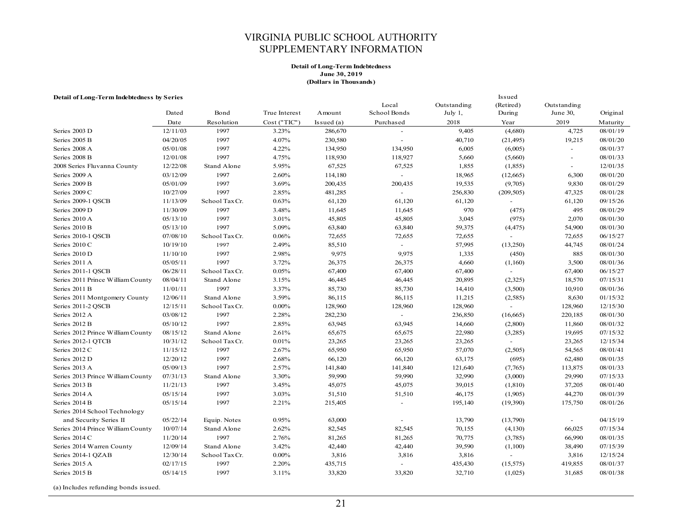#### VIRGINIA PUBLIC SCHOOL AUTHORITY SUPPLEMENTARY INFORMATION

#### **Detail of Long-Term Indebtedness June 30, 2019 (Dollars in Thousands)**

#### **Detail of Long-Term Indebtedness by Series** Issued

|                                   |          |                |               |            | Local                    | Outstanding | (Retired)  | Outstanding |          |
|-----------------------------------|----------|----------------|---------------|------------|--------------------------|-------------|------------|-------------|----------|
|                                   | Dated    | Bond           | True Interest | Amount     | School Bonds             | July 1,     | During     | June 30,    | Original |
|                                   | Date     | Resolution     | Cost("TIC")   | Is sued(a) | Purchased                | 2018        | Year       | 2019        | Maturity |
| Series 2003 D                     | 12/11/03 | 1997           | 3.23%         | 286,670    | $\overline{a}$           | 9,405       | (4,680)    | 4,725       | 08/01/19 |
| Series 2005 B                     | 04/20/05 | 1997           | 4.07%         | 230,580    | $\sim$                   | 40,710      | (21, 495)  | 19,215      | 08/01/20 |
| Series 2008 A                     | 05/01/08 | 1997           | 4.22%         | 134,950    | 134,950                  | 6,005       | (6,005)    | $\sim$      | 08/01/37 |
| Series 2008 B                     | 12/01/08 | 1997           | 4.75%         | 118,930    | 118,927                  | 5,660       | (5,660)    | $\sim$      | 08/01/33 |
| 2008 Series Fluvanna County       | 12/22/08 | Stand Alone    | 5.95%         | 67,525     | 67,525                   | 1,855       | (1,855)    | $\sim$      | 12/01/35 |
| Series 2009 A                     | 03/12/09 | 1997           | 2.60%         | 114,180    | $\sim$                   | 18,965      | (12, 665)  | 6,300       | 08/01/20 |
| Series 2009 B                     | 05/01/09 | 1997           | 3.69%         | 200,435    | 200,435                  | 19,535      | (9,705)    | 9,830       | 08/01/29 |
| Series 2009 C                     | 10/27/09 | 1997           | 2.85%         | 481,285    | $\sim$                   | 256,830     | (209, 505) | 47,325      | 08/01/28 |
| Series 2009-1 QSCB                | 11/13/09 | School Tax Cr. | 0.63%         | 61,120     | 61,120                   | 61,120      |            | 61,120      | 09/15/26 |
| Series 2009 D                     | 11/30/09 | 1997           | 3.48%         | 11,645     | 11,645                   | 970         | (475)      | 495         | 08/01/29 |
| Series 2010 A                     | 05/13/10 | 1997           | 3.01%         | 45,805     | 45,805                   | 3,045       | (975)      | 2,070       | 08/01/30 |
| Series 2010 B                     | 05/13/10 | 1997           | 5.09%         | 63,840     | 63,840                   | 59,375      | (4, 475)   | 54,900      | 08/01/30 |
| Series 2010-1 QSCB                | 07/08/10 | School Tax Cr. | 0.06%         | 72,655     | 72,655                   | 72,655      |            | 72,655      | 06/15/27 |
| Series 2010 C                     | 10/19/10 | 1997           | 2.49%         | 85,510     | $\omega$                 | 57,995      | (13,250)   | 44,745      | 08/01/24 |
| Series 2010 D                     | 11/10/10 | 1997           | 2.98%         | 9,975      | 9,975                    | 1,335       | (450)      | 885         | 08/01/30 |
| Series 2011 A                     | 05/05/11 | 1997           | 3.72%         | 26,375     | 26,375                   | 4,660       | (1,160)    | 3,500       | 08/01/36 |
| Series 2011-1 OSCB                | 06/28/11 | School Tax Cr. | 0.05%         | 67,400     | 67,400                   | 67,400      | ÷.         | 67,400      | 06/15/27 |
| Series 2011 Prince William County | 08/04/11 | Stand Alone    | 3.15%         | 46,445     | 46,445                   | 20,895      | (2,325)    | 18,570      | 07/15/31 |
| Series 2011 B                     | 11/01/11 | 1997           | 3.37%         | 85,730     | 85,730                   | 14,410      | (3,500)    | 10,910      | 08/01/36 |
| Series 2011 Montgomery County     | 12/06/11 | Stand Alone    | 3.59%         | 86,115     | 86,115                   | 11,215      | (2,585)    | 8,630       | 01/15/32 |
| Series 2011-2 QSCB                | 12/15/11 | School Tax Cr. | $0.00\%$      | 128,960    | 128,960                  | 128,960     |            | 128,960     | 12/15/30 |
| Series 2012 A                     | 03/08/12 | 1997           | 2.28%         | 282,230    | $\sim$                   | 236,850     | (16, 665)  | 220,185     | 08/01/30 |
| Series 2012 B                     | 05/10/12 | 1997           | 2.85%         | 63,945     | 63,945                   | 14,660      | (2,800)    | 11,860      | 08/01/32 |
| Series 2012 Prince William County | 08/15/12 | Stand Alone    | 2.61%         | 65,675     | 65,675                   | 22,980      | (3,285)    | 19,695      | 07/15/32 |
| Series 2012-1 QTCB                | 10/31/12 | School Tax Cr. | 0.01%         | 23,265     | 23,265                   | 23,265      |            | 23,265      | 12/15/34 |
| Series 2012 C                     | 11/15/12 | 1997           | 2.67%         | 65,950     | 65,950                   | 57,070      | (2,505)    | 54,565      | 08/01/41 |
| Series 2012 D                     | 12/20/12 | 1997           | 2.68%         | 66,120     | 66,120                   | 63,175      | (695)      | 62,480      | 08/01/35 |
| Series 2013 A                     | 05/09/13 | 1997           | 2.57%         | 141,840    | 141,840                  | 121,640     | (7,765)    | 113,875     | 08/01/33 |
| Series 2013 Prince William County | 07/31/13 | Stand Alone    | 3.30%         | 59,990     | 59,990                   | 32,990      | (3,000)    | 29,990      | 07/15/33 |
| Series 2013 B                     | 11/21/13 | 1997           | 3.45%         | 45,075     | 45,075                   | 39,015      | (1, 810)   | 37,205      | 08/01/40 |
| Series 2014 A                     | 05/15/14 | 1997           | 3.03%         | 51,510     | 51,510                   | 46,175      | (1,905)    | 44,270      | 08/01/39 |
| Series 2014 B                     | 05/15/14 | 1997           | 2.21%         | 215,405    | $\sim$                   | 195,140     | (19,390)   | 175,750     | 08/01/26 |
| Series 2014 School Technology     |          |                |               |            |                          |             |            |             |          |
| and Security Series II            | 05/22/14 | Equip. Notes   | 0.95%         | 63,000     | $\overline{\phantom{a}}$ | 13,790      | (13,790)   | $\sim$      | 04/15/19 |
| Series 2014 Prince William County | 10/07/14 | Stand Alone    | 2.62%         | 82,545     | 82,545                   | 70,155      | (4,130)    | 66,025      | 07/15/34 |
| Series 2014 C                     | 11/20/14 | 1997           | 2.76%         | 81,265     | 81,265                   | 70,775      | (3,785)    | 66,990      | 08/01/35 |
| Series 2014 Warren County         | 12/09/14 | Stand Alone    | 3.42%         | 42,440     | 42,440                   | 39,590      | (1,100)    | 38,490      | 07/15/39 |
| Series 2014-1 QZAB                | 12/30/14 | School Tax Cr. | $0.00\%$      | 3,816      | 3,816                    | 3,816       | $\sim$     | 3,816       | 12/15/24 |
| Series 2015 A                     | 02/17/15 | 1997           | 2.20%         | 435,715    |                          | 435,430     | (15, 575)  | 419,855     | 08/01/37 |
| Series 2015 B                     | 05/14/15 | 1997           | 3.11%         | 33,820     | 33,820                   | 32,710      | (1,025)    | 31,685      | 08/01/38 |

(a) Includes refunding bonds issued.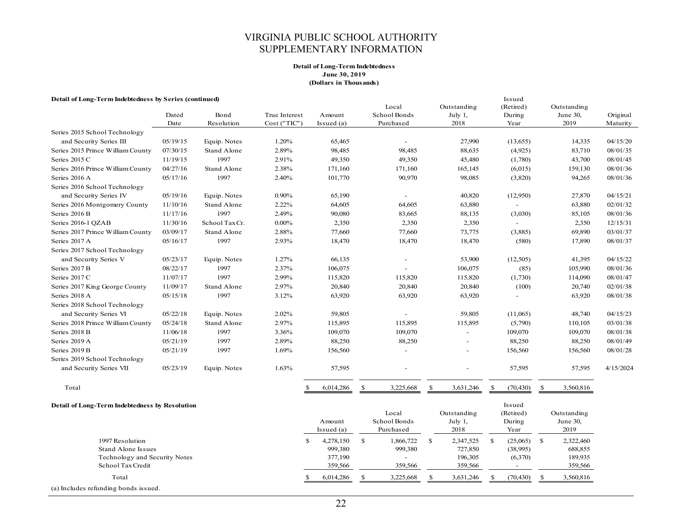#### VIRGINIA PUBLIC SCHOOL AUTHORITY SUPPLEMENTARY INFORMATION

#### **Detail of Long-Term Indebtedness June 30, 2019 (Dollars in Thousands)**

#### **Detail of Long-Term Indebtedness by Series (continued)** Issued

|                                                       | Dated<br>Date | Bond<br>Resolution | True Interest<br>Cost ("TIC") | Amount<br>Issued (a) | Local<br>School Bonds<br>Purchased | Outstanding<br>July 1,<br>2018 | (Retired)<br>During<br>Year           | Outstanding<br>June 30,<br>2019 | Original<br>Maturity |
|-------------------------------------------------------|---------------|--------------------|-------------------------------|----------------------|------------------------------------|--------------------------------|---------------------------------------|---------------------------------|----------------------|
| Series 2015 School Technology                         |               |                    |                               |                      |                                    |                                |                                       |                                 |                      |
| and Security Series III                               | 05/19/15      | Equip. Notes       | 1.20%                         | 65,465               |                                    | 27,990                         | (13, 655)                             | 14,335                          | 04/15/20             |
| Series 2015 Prince William County                     | 07/30/15      | Stand Alone        | 2.89%                         | 98,485               | 98,485                             | 88,635                         | (4,925)                               | 83,710                          | 08/01/35             |
| Series 2015 C                                         | 11/19/15      | 1997               | 2.91%                         | 49,350               | 49,350                             | 45,480                         | (1,780)                               | 43,700                          | 08/01/45             |
| Series 2016 Prince William County                     | 04/27/16      | <b>Stand Alone</b> | 2.38%                         | 171,160              | 171,160                            | 165,145                        | (6,015)                               | 159,130                         | 08/01/36             |
| Series 2016 A                                         | 05/17/16      | 1997               | 2.40%                         | 101,770              | 90,970                             | 98,085                         | (3,820)                               | 94,265                          | 08/01/36             |
| Series 2016 School Technology                         |               |                    |                               |                      |                                    |                                |                                       |                                 |                      |
| and Security Series IV                                | 05/19/16      | Equip. Notes       | 0.90%                         | 65,190               | $\blacksquare$                     | 40,820                         | (12,950)                              | 27,870                          | 04/15/21             |
| Series 2016 Montgomery County                         | 11/10/16      | Stand Alone        | 2.22%                         | 64,605               | 64,605                             | 63,880                         |                                       | 63,880                          | 02/01/32             |
| Series 2016 B                                         | 11/17/16      | 1997               | 2.49%                         | 90,080               | 83,665                             | 88,135                         | (3,030)                               | 85,105                          | 08/01/36             |
| Series 2016-1 OZAB                                    | 11/30/16      | School Tax Cr.     | $0.00\%$                      | 2,350                | 2,350                              | 2,350                          |                                       | 2,350                           | 12/15/31             |
| Series 2017 Prince William County                     | 03/09/17      | <b>Stand Alone</b> | 2.88%                         | 77,660               | 77,660                             | 73,775                         | (3,885)                               | 69,890                          | 03/01/37             |
| Series 2017 A                                         | 05/16/17      | 1997               | 2.93%                         | 18,470               | 18,470                             | 18,470                         | (580)                                 | 17,890                          | 08/01/37             |
| Series 2017 School Technology                         |               |                    |                               |                      |                                    |                                |                                       |                                 |                      |
| and Security Series V                                 | 05/23/17      | Equip. Notes       | 1.27%                         | 66,135               |                                    | 53,900                         | (12, 505)                             | 41,395                          | 04/15/22             |
| Series 2017 B                                         | 08/22/17      | 1997               | 2.37%                         | 106,075              |                                    | 106,075                        | (85)                                  | 105,990                         | 08/01/36             |
| Series 2017 C                                         | 11/07/17      | 1997               | 2.99%                         | 115,820              | 115,820                            | 115,820                        | (1,730)                               | 114,090                         | 08/01/47             |
| Series 2017 King George County                        | 11/09/17      | <b>Stand Alone</b> | 2.97%                         | 20,840               | 20,840                             | 20,840                         | (100)                                 | 20,740                          | 02/01/38             |
| Series 2018 A                                         | 05/15/18      | 1997               | 3.12%                         | 63,920               | 63,920                             | 63,920                         |                                       | 63,920                          | 08/01/38             |
| Series 2018 School Technology                         |               |                    |                               |                      |                                    |                                |                                       |                                 |                      |
| and Security Series VI                                | 05/22/18      | Equip. Notes       | 2.02%                         | 59,805               |                                    | 59,805                         | (11,065)                              | 48,740                          | 04/15/23             |
| Series 2018 Prince William County                     | 05/24/18      | Stand Alone        | 2.97%                         | 115,895              | 115,895                            | 115,895                        | (5,790)                               | 110,105                         | 03/01/38             |
| Series 2018 B                                         | 11/06/18      | 1997               | 3.36%                         | 109,070              | 109,070                            |                                | 109,070                               | 109,070                         | 08/01/38             |
| Series 2019 A                                         | 05/21/19      | 1997               | 2.89%                         | 88,250               | 88,250                             |                                | 88,250                                | 88,250                          | 08/01/49             |
| Series 2019 B                                         | 05/21/19      | 1997               | 1.69%                         | 156,560              |                                    |                                | 156,560                               | 156,560                         | 08/01/28             |
| Series 2019 School Technology                         |               |                    |                               |                      |                                    |                                |                                       |                                 |                      |
| and Security Series VII                               | 05/23/19      | Equip. Notes       | 1.63%                         | 57,595               |                                    |                                | 57,595                                | 57,595                          | 4/15/2024            |
| Total                                                 |               |                    |                               | 6,014,286            | 3,225,668<br><sup>\$</sup>         | 3,631,246<br>\$                | \$<br>(70, 430)                       | <sup>\$</sup><br>3,560,816      |                      |
| <b>Detail of Long-Term Indebtedness by Resolution</b> |               |                    |                               | Amount<br>Is sued(a) | Local<br>School Bonds<br>Purchased | Outstanding<br>July 1,<br>2018 | Issued<br>(Retired)<br>During<br>Year | Outstanding<br>June 30,<br>2019 |                      |

| 1997 Resolution                      | 4,278,150 | 1,866,722 | 2,347,525 | (25,065) | 2,322,460 |
|--------------------------------------|-----------|-----------|-----------|----------|-----------|
| Stand Alone Issues                   | 999,380   | 999.380   | 727,850   | (38.995) | 688,855   |
| Technology and Security Notes        | 377,190   |           | 196,305   | (6,370)  | 189,935   |
| School Tax Credit                    | 359,566   | 359,566   | 359,566   |          | 359,566   |
| Total                                | 6.014.286 | 3.225.668 | 3.631.246 | (70.430) | 3,560,816 |
| (a) Includes refunding bonds issued. |           |           |           |          |           |